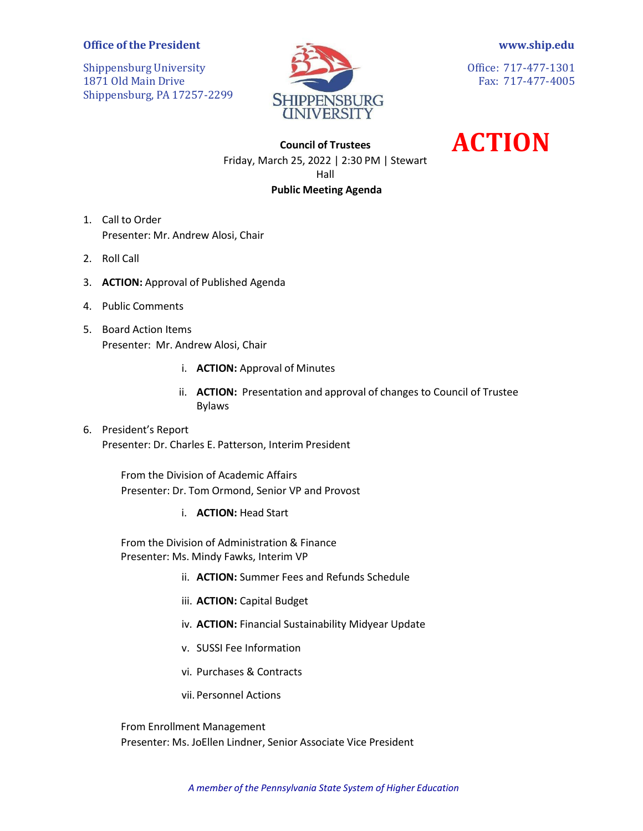## **Office of the President**

Shippensburg University 1871 Old Main Drive Shippensburg, PA 17257-2299



**[www.ship.edu](http://www.ship.edu/)**

Office: 717-477-1301 Fax: 717-477-4005

**ACTION**

**Council of Trustees** Friday, March 25, 2022 | 2:30 PM | Stewart Hall **Public Meeting Agenda**

- 1. Call to Order Presenter: Mr. Andrew Alosi, Chair
- 2. Roll Call
- 3. **ACTION:** Approval of Published Agenda
- 4. Public Comments
- 5. Board Action Items Presenter: Mr. Andrew Alosi, Chair
	- i. **ACTION:** Approval of Minutes
	- ii. **ACTION:** Presentation and approval of changes to Council of Trustee Bylaws
- 6. President's Report Presenter: Dr. Charles E. Patterson, Interim President

From the Division of Academic Affairs Presenter: Dr. Tom Ormond, Senior VP and Provost

i. **ACTION:** Head Start

From the Division of Administration & Finance Presenter: Ms. Mindy Fawks, Interim VP

- ii. **ACTION:** Summer Fees and Refunds Schedule
- iii. **ACTION:** Capital Budget
- iv. **ACTION:** Financial Sustainability Midyear Update
- v. SUSSI Fee Information
- vi. Purchases & Contracts
- vii. Personnel Actions

From Enrollment Management Presenter: Ms. JoEllen Lindner, Senior Associate Vice President